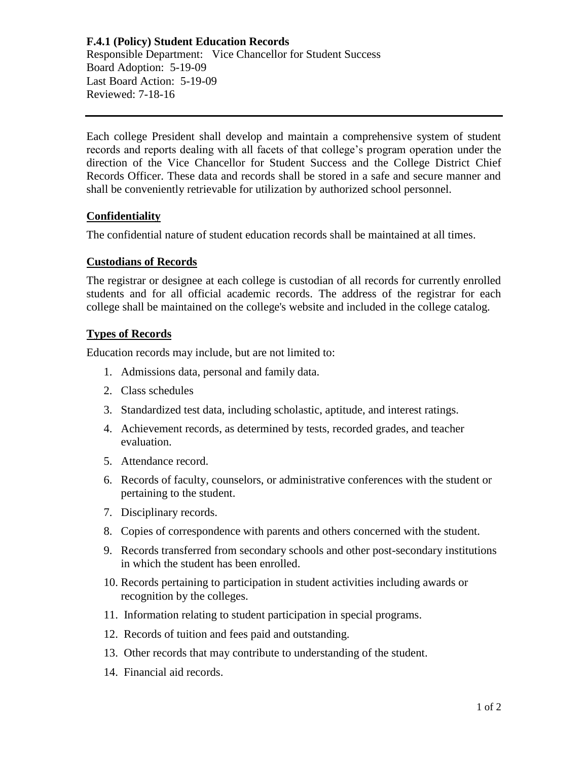## **F.4.1 (Policy) Student Education Records** Responsible Department: Vice Chancellor for Student Success Board Adoption: 5-19-09 Last Board Action: 5-19-09 Reviewed: 7-18-16

Each college President shall develop and maintain a comprehensive system of student records and reports dealing with all facets of that college's program operation under the direction of the Vice Chancellor for Student Success and the College District Chief Records Officer. These data and records shall be stored in a safe and secure manner and shall be conveniently retrievable for utilization by authorized school personnel.

# **Confidentiality**

The confidential nature of student education records shall be maintained at all times.

#### **Custodians of Records**

The registrar or designee at each college is custodian of all records for currently enrolled students and for all official academic records. The address of the registrar for each college shall be maintained on the college's website and included in the college catalog.

#### **Types of Records**

Education records may include, but are not limited to:

- 1. Admissions data, personal and family data.
- 2. Class schedules
- 3. Standardized test data, including scholastic, aptitude, and interest ratings.
- 4. Achievement records, as determined by tests, recorded grades, and teacher evaluation.
- 5. Attendance record.
- 6. Records of faculty, counselors, or administrative conferences with the student or pertaining to the student.
- 7. Disciplinary records.
- 8. Copies of correspondence with parents and others concerned with the student.
- 9. Records transferred from secondary schools and other post-secondary institutions in which the student has been enrolled.
- 10. Records pertaining to participation in student activities including awards or recognition by the colleges.
- 11. Information relating to student participation in special programs.
- 12. Records of tuition and fees paid and outstanding.
- 13. Other records that may contribute to understanding of the student.
- 14. Financial aid records.